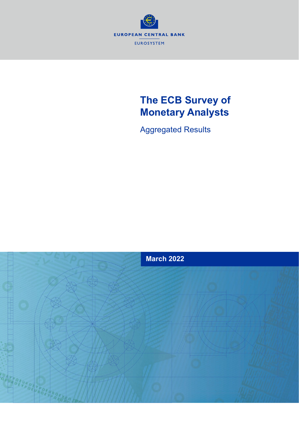

# **The ECB Survey of Monetary Analysts**

Aggregated Results

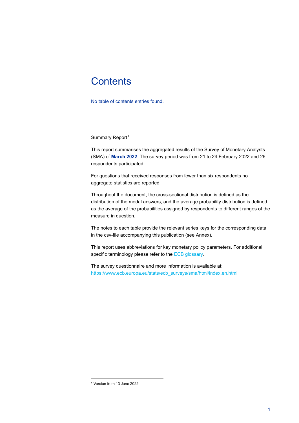# **Contents**

No table of contents entries found.

Summary Report<sup>[1](#page-1-0)</sup>

This report summarises the aggregated results of the Survey of Monetary Analysts (SMA) of **March 2022**. The survey period was from 21 to 24 February 2022 and 26 respondents participated.

For questions that received responses from fewer than six respondents no aggregate statistics are reported.

Throughout the document, the cross-sectional distribution is defined as the distribution of the modal answers, and the average probability distribution is defined as the average of the probabilities assigned by respondents to different ranges of the measure in question.

The notes to each table provide the relevant series keys for the corresponding data in the csv-file accompanying this publication (see Annex).

This report uses abbreviations for key monetary policy parameters. For additional specific terminology please refer to th[e ECB glossary.](https://www.ecb.europa.eu/home/glossary/html/index.en.html)

The survey questionnaire and more information is available at: [https://www.ecb.europa.eu/stats/ecb\\_surveys/sma/html/index.en.html](https://www.ecb.europa.eu/stats/ecb_surveys/sma/html/index.en.html)

<span id="page-1-0"></span><sup>1</sup> Version from 13 June 2022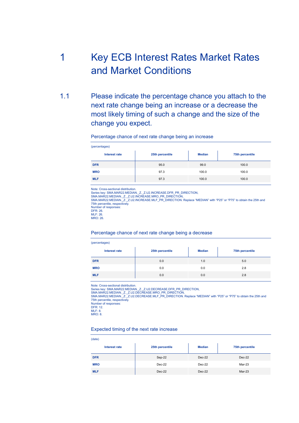# 1 Key ECB Interest Rates Market Rates and Market Conditions

1.1 Please indicate the percentage chance you attach to the next rate change being an increase or a decrease the most likely timing of such a change and the size of the change you expect.

### Percentage chance of next rate change being an increase

| (percentages) |                 |               |                 |
|---------------|-----------------|---------------|-----------------|
| Interest rate | 25th percentile | <b>Median</b> | 75th percentile |
| <b>DFR</b>    | 95.0            | 99.0          | 100.0           |
| <b>MRO</b>    | 97.3            | 100.0         | 100.0           |
| <b>MLF</b>    | 97.3            | 100.0         | 100.0           |

Note: Cross-sectional distribution.

Series key: SMA.MAR22.MEDIAN.\_Z.\_Z.U2.INCREASE.DFR\_PR\_DIRECTION,<br>SMA.MAR22.MEDIAN.\_Z.\_Z.U2.INCREASE.MRO\_PR\_DIRECTION,<br>SMA.MAR22.MEDIAN.\_Z.\_Z.U2.INCREASE.MLF\_PR\_DIRECTION. Replace "MEDIAN" with "P25" or "P75" to obtain the 75th percentile, respectively. Number of responses: DFR: 26. MLF: 26. MRO: 26.

### Percentage chance of next rate change being a decrease

| (percentages)   |               |                 |  |
|-----------------|---------------|-----------------|--|
| 25th percentile | <b>Median</b> | 75th percentile |  |
| 0.0             | 1.0           | 5.0             |  |
| 0.0             | 0.0           | 2.8             |  |
| 0.0             | 0.0           | 2.8             |  |
|                 |               |                 |  |

Note: Cross-sectional distribution.

Series key: SMA.MAR22.MEDIAN.\_Z.\_Z.U2.DECREASE.DFR\_PR\_DIRECTION,

SMA.MAR22.MEDIAN.\_Z.\_Z.U2.DECREASE.MRO\_PR\_DIRECTION,<br>SMA.MAR22.MEDIAN.\_Z.\_Z.U2.DECREASE.MLF\_PR\_DIRECTION. Replace "MEDIAN" with "P25" or "P75" to obtain the 25th and 75th percentile, respectively. Number of responses: DFR: 12. MLF: 8.

MRO: 8.

### Expected timing of the next rate increase

| (date)        |                 |               |                 |
|---------------|-----------------|---------------|-----------------|
| Interest rate | 25th percentile | <b>Median</b> | 75th percentile |
| <b>DFR</b>    | Sep-22          | $Dec-22$      | Dec-22          |
| <b>MRO</b>    | Dec-22          | $Dec-22$      | Mar-23          |
| <b>MLF</b>    | $Dec-22$        | $Dec-22$      | Mar-23          |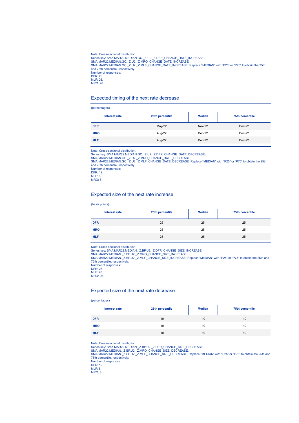Note: Cross-sectional distribution.<br>Series key: SMA.MAR22.MEDIAN.GC.\_Z.U2.\_Z.DFR\_CHANGE\_DATE\_INCREASE,<br>SMA.MAR22.MEDIAN.GC.\_Z.U2.\_Z.MRO\_CHANGE\_DATE\_INCREASE,<br>SMA.MAR22.MEDIAN.GC.\_Z.U2.\_Z.MLF\_CHANGE\_DATE\_INCREASE. Replace " and 75th percentile, respectively. Number of responses: DFR: 26. MLF: 26. MRO: 26.

### Expected timing of the next rate decrease

#### (percentages)

| . .<br>$\sim$<br>. . |                 |               |                 |
|----------------------|-----------------|---------------|-----------------|
| Interest rate        | 25th percentile | <b>Median</b> | 75th percentile |
| <b>DFR</b>           | $May-22$        | <b>Nov-22</b> | Dec-22          |
| <b>MRO</b>           | Aug-22          | $Dec-22$      | Dec-22          |
| <b>MLF</b>           | Aug-22          | $Dec-22$      | $Dec-22$        |

Note: Cross-sectional distribution.

Series key: SMA.MAR22.MEDIAN.GC.\_Z.U2.\_Z.DFR\_CHANGE\_DATE\_DECREASE,<br>SMA.MAR22.MEDIAN.GC.\_Z.U2.\_Z.MRO\_CHANGE\_DATE\_DECREASE,<br>SMA.MAR22.MEDIAN.GC.\_Z.U2.\_Z.MLF\_CHANGE\_DATE\_DECREASE. Replace "MEDIAN" with "P25" or "P75" to obtai and 75th percentile, respectively.

Number of responses: DFR: 12. MLF: 8. MRO: 8.

### Expected size of the next rate increase

#### (basis points)

| Interest rate | 25th percentile | <b>Median</b> | 75th percentile |
|---------------|-----------------|---------------|-----------------|
| <b>DFR</b>    | 25              | 25            | 25              |
| <b>MRO</b>    | 25              | 25            | 25              |
| <b>MLF</b>    | 25              | 25            | 25              |

Note: Cross-sectional distribution.

Series key: SMA.MAR22.MEDIAN.\_Z.BP.U2.\_Z.DFR\_CHANGE\_SIZE\_INCREASE,<br>SMA.MAR22.MEDIAN.\_Z.BP.U2.\_Z.MRO\_CHANGE\_SIZE\_INCREASE,<br>SMA.MAR22.MEDIAN.\_Z.BP.U2.\_Z.MLF\_CHANGE\_SIZE\_INCREASE. Replace "MEDIAN" with "P25" or "P75" to obta 75th percentile, respectively. Number of responses:

DFR: 26.

MLF: 26.

MRO: 26.

### Expected size of the next rate decrease

#### (percentages)

| <b>Interest rate</b> | 25th percentile | <b>Median</b> | 75th percentile |
|----------------------|-----------------|---------------|-----------------|
| <b>DFR</b>           | $-10$           | $-10$         | $-10$           |
| <b>MRO</b>           | $-10$           | $-10$         | $-10$           |
| <b>MLF</b>           | $-10$           | $-10$         | $-10$           |

Note: Cross-sectional distribution.

Series key: SMA.MAR22.MEDIAN.\_Z.BP.U2.\_Z.DFR\_CHANGE\_SIZE\_DECREASE,<br>SMA.MAR22.MEDIAN.\_Z.BP.U2.\_Z.MRO\_CHANGE\_SIZE\_DECREASE,<br>SMA.MAR22.MEDIAN.\_Z.BP.U2.\_Z.MLF\_CHANGE\_SIZE\_DECREASE. Replace "MEDIAN" with "P25" or "P75" to obtai 75th percentile, respectively. Number of responses:

DFR: 12.

MLF: 8. MRO: 8.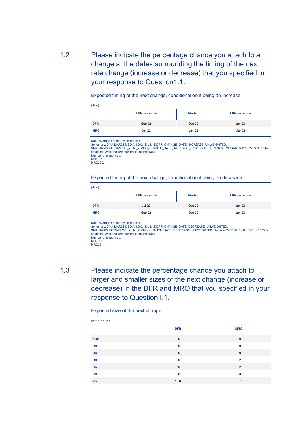1.2 Please indicate the percentage chance you attach to a change at the dates surrounding the timing of the next rate change (increase or decrease) that you specified in your response to Question1.1.

Expected timing of the next change, conditional on it being an increase

| (date)     |                 |               |                 |
|------------|-----------------|---------------|-----------------|
|            | 25th percentile | <b>Median</b> | 75th percentile |
| <b>DFR</b> | Sep-22          | Dec-22        | $Jan-23$        |
| <b>MRO</b> | Oct-22          | $Jan-23$      | Mar-23          |

Note: Average probability distribution.

Series key: SMA.MAR22.MEDIAN.GC.\_Z.U2.\_Z.DFR\_CHANGE\_DATE\_INCREASE\_UNWEIGHTED,<br>SMA.MAR22.MEDIAN.GC.\_Z.U2.\_Z.MRO\_CHANGE\_DATE\_INCREASE\_UNWEIGHTED. Replace "MEDIAN" with "P25" or "P75" to obtain the 25th and 75th percentile, respectively. Number of responses: DFR: 26. MRO: 25.

### Expected timing of the next change, conditional on it being an decrease

| (date)     |                 |               |                 |  |
|------------|-----------------|---------------|-----------------|--|
|            | 25th percentile | <b>Median</b> | 75th percentile |  |
| <b>DFR</b> | <b>Jul-22</b>   | Dec-22        | $Jan-23$        |  |
| <b>MRO</b> | Sep-22          | $Dec-22$      | $Jan-23$        |  |

Note: Average probability distribution.

Series key: SMA.MAR22.MEDIAN.GC.\_Z.U2.\_Z.DFR\_CHANGE\_DATE\_DECREASE\_UNWEIGHTED,<br>SMA.MAR22.MEDIAN.GC.\_Z.U2.\_Z.MRO\_CHANGE\_DATE\_DECREASE\_UNWEIGHTED. Replace "MEDIAN" with "P25" or "P75" to obtain the 25th and 75th percentile, respectively. Number of responses:

1.3 Please indicate the percentage chance you attach to larger and smaller sizes of the next change (increase or decrease) in the DFR and MRO that you specified in your response to Question1.1.

Expected size of the next change

| (percentages) |            |            |  |  |
|---------------|------------|------------|--|--|
|               | <b>DFR</b> | <b>MRO</b> |  |  |
| $< -50$       | 0.0        | 0.0        |  |  |
| $-50$         | $0.0\,$    | 0.0        |  |  |
| $-45$         | $0.0\,$    | 0.0        |  |  |
| $-40$         | $0.0\,$    | 0.2        |  |  |
| $-35$         | $0.0\,$    | 0.2        |  |  |
| $-30$         | 0.8        | 0.3        |  |  |
| $-25$         | 10.8       | 3.7        |  |  |

DFR: 11.

MRO: 8.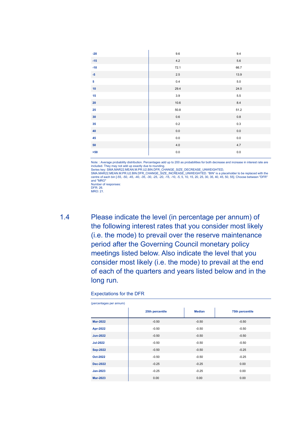| $-20$           | $9.6\,$ | $9.4\,$ |
|-----------------|---------|---------|
| $-15$           | 4.2     | $5.6\,$ |
| $-10$           | 72.1    | 66.7    |
| $-5$            | 2.5     | 13.9    |
| 5 <sup>1</sup>  | $0.4\,$ | $5.0$   |
| 10              | 29.4    | 24.0    |
| 15              | 3.9     | $5.5\,$ |
| 20              | 10.6    | $8.4\,$ |
| 25              | 50.8    | 51.2    |
| 30 <sub>2</sub> | $0.6\,$ | $0.8\,$ |
| 35              | $0.2\,$ | $0.3\,$ |
| 40              | 0.0     | $0.0\,$ |
| 45              | $0.0\,$ | $0.0\,$ |
| 50              | 4.0     | 4.7     |
| $>50$           | $0.0\,$ | $0.0\,$ |

Note: : Average probability distribution. Percentages add up to 200 as probabilities for both decrease and increase in interest rate are included. They may not add up exactly due to rounding.<br>Series key: SMA.MAR22.MEAN.M.PR.U2.BIN.DFR\_CHANGE\_SIZE\_DECREASE\_UNWEIGHTED,<br>SMA.MAR22.MEAN.M.PR.U2.BIN.DFR\_CHANGE\_SIZE\_INCREASE\_UNWEIGHTED. "BIN" is a placeholder to b

centre of each bin [-55, -50, -45, -40, -35, -30, -25, -20, -15, -10, -5, 5, 10, 15, 20, 25, 30, 35, 40, 45, 50, 55]. Choose between "DFR" and "MRO" Number of responses:

1.4 Please indicate the level (in percentage per annum) of the following interest rates that you consider most likely (i.e. the mode) to prevail over the reserve maintenance period after the Governing Council monetary policy meetings listed below. Also indicate the level that you consider most likely (i.e. the mode) to prevail at the end of each of the quarters and years listed below and in the long run.

### Expectations for the DFR

| (percentages per annum) |                 |               |                 |
|-------------------------|-----------------|---------------|-----------------|
|                         | 25th percentile | <b>Median</b> | 75th percentile |
| <b>Mar-2022</b>         | $-0.50$         | $-0.50$       | $-0.50$         |
| Apr-2022                | $-0.50$         | $-0.50$       | $-0.50$         |
| <b>Jun-2022</b>         | $-0.50$         | $-0.50$       | $-0.50$         |
| <b>Jul-2022</b>         | $-0.50$         | $-0.50$       | $-0.50$         |
| <b>Sep-2022</b>         | $-0.50$         | $-0.50$       | $-0.25$         |
| Oct-2022                | $-0.50$         | $-0.50$       | $-0.25$         |
| <b>Dec-2022</b>         | $-0.25$         | $-0.25$       | 0.00            |
| Jan-2023                | $-0.25$         | $-0.25$       | 0.00            |
| <b>Mar-2023</b>         | 0.00            | 0.00          | 0.00            |

DFR: 26.

MRO: 21.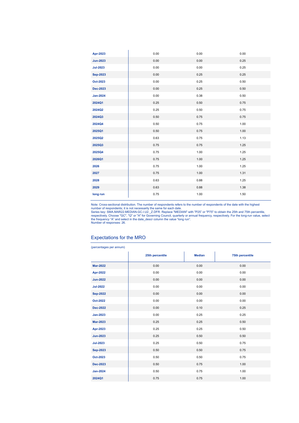| Apr-2023        | 0.00 | 0.00 | 0.00 |
|-----------------|------|------|------|
| <b>Jun-2023</b> | 0.00 | 0.00 | 0.25 |
| <b>Jul-2023</b> | 0.00 | 0.00 | 0.25 |
| <b>Sep-2023</b> | 0.00 | 0.25 | 0.25 |
| Oct-2023        | 0.00 | 0.25 | 0.50 |
| <b>Dec-2023</b> | 0.00 | 0.25 | 0.50 |
| <b>Jan-2024</b> | 0.00 | 0.38 | 0.50 |
| 2024Q1          | 0.25 | 0.50 | 0.75 |
| 2024Q2          | 0.25 | 0.50 | 0.75 |
| 2024Q3          | 0.50 | 0.75 | 0.75 |
| 2024Q4          | 0.50 | 0.75 | 1.00 |
| 2025Q1          | 0.50 | 0.75 | 1.00 |
| 2025Q2          | 0.63 | 0.75 | 1.13 |
| 2025Q3          | 0.75 | 0.75 | 1.25 |
| 2025Q4          | 0.75 | 1.00 | 1.25 |
| 2026Q1          | 0.75 | 1.00 | 1.25 |
| 2026            | 0.75 | 1.00 | 1.25 |
| 2027            | 0.75 | 1.00 | 1.31 |
| 2028            | 0.63 | 0.88 | 1.25 |
| 2029            | 0.63 | 0.88 | 1.38 |
| long run        | 0.75 | 1.00 | 1.50 |

Note: Cross-sectional distribution. The number of respondents refers to the number of respondents of the date with the highest<br>number of respondents; it is not necessarily the same for each date.<br>Series key: SMA.MAR22.MEDI

### Expectations for the MRO

| (percentages per annum) |                 |               |                 |  |  |
|-------------------------|-----------------|---------------|-----------------|--|--|
|                         | 25th percentile | <b>Median</b> | 75th percentile |  |  |
| <b>Mar-2022</b>         | 0.00            | 0.00          | 0.00            |  |  |
| Apr-2022                | 0.00            | 0.00          | 0.00            |  |  |
| <b>Jun-2022</b>         | 0.00            | 0.00          | 0.00            |  |  |
| <b>Jul-2022</b>         | 0.00            | 0.00          | 0.00            |  |  |
| <b>Sep-2022</b>         | 0.00            | 0.00          | 0.00            |  |  |
| <b>Oct-2022</b>         | 0.00            | 0.00          | 0.00            |  |  |
| <b>Dec-2022</b>         | 0.00            | 0.10          | 0.25            |  |  |
| <b>Jan-2023</b>         | 0.00            | 0.25          | 0.25            |  |  |
| <b>Mar-2023</b>         | 0.25            | 0.25          | 0.50            |  |  |
| Apr-2023                | 0.25            | 0.25          | 0.50            |  |  |
| <b>Jun-2023</b>         | 0.25            | 0.50          | 0.50            |  |  |
| <b>Jul-2023</b>         | 0.25            | 0.50          | 0.75            |  |  |
| <b>Sep-2023</b>         | 0.50            | 0.50          | 0.75            |  |  |
| Oct-2023                | 0.50            | 0.50          | 0.75            |  |  |
| <b>Dec-2023</b>         | 0.50            | 0.75          | 1.00            |  |  |
| <b>Jan-2024</b>         | 0.50            | 0.75          | 1.00            |  |  |
| 2024Q1                  | 0.75            | 0.75          | 1.00            |  |  |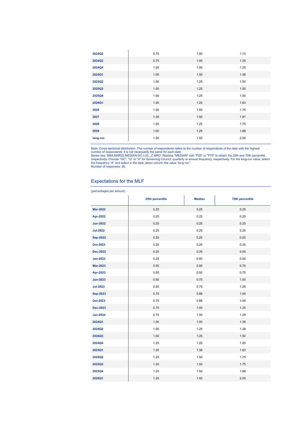| 2024Q2   | 0.75 | 1.00 | 1.13 |
|----------|------|------|------|
| 2024Q3   | 0.75 | 1.00 | 1.25 |
| 2024Q4   | 1.00 | 1.00 | 1.25 |
| 2025Q1   | 1.00 | 1.00 | 1.38 |
| 2025Q2   | 1.00 | 1.25 | 1.50 |
| 2025Q3   | 1.00 | 1.25 | 1.50 |
| 2025Q4   | 1.00 | 1.25 | 1.50 |
| 2026Q1   | 1.00 | 1.25 | 1.63 |
| 2026     | 1.00 | 1.50 | 1.75 |
| 2027     | 1.00 | 1.50 | 1.81 |
| 2028     | 1.00 | 1.25 | 1.75 |
| 2029     | 1.00 | 1.25 | 1.88 |
| long run | 1.00 | 1.50 | 2.00 |

Note: Cross-sectional distribution. The number of respondents refers to the number of respondents of the date with the highest<br>number of respondents; it is not necessarily the same for each date.<br>Series key: SMA.MAR22.MEDI

### Expectations for the MLF

(percentages per annum)

|                 | 25th percentile | <b>Median</b> | 75th percentile |
|-----------------|-----------------|---------------|-----------------|
| <b>Mar-2022</b> | 0.25            | 0.25          | 0.25            |
| <b>Apr-2022</b> | 0.25            | 0.25          | 0.25            |
| <b>Jun-2022</b> | 0.25            | 0.25          | 0.25            |
| <b>Jul-2022</b> | 0.25            | 0.25          | 0.25            |
| <b>Sep-2022</b> | 0.25            | 0.25          | 0.25            |
| <b>Oct-2022</b> | 0.25            | 0.25          | 0.25            |
| <b>Dec-2022</b> | 0.25            | 0.35          | 0.50            |
| <b>Jan-2023</b> | 0.25            | 0.50          | 0.50            |
| <b>Mar-2023</b> | 0.50            | 0.50          | 0.75            |
| <b>Apr-2023</b> | 0.50            | 0.50          | 0.75            |
| <b>Jun-2023</b> | 0.50            | 0.75          | 1.00            |
| <b>Jul-2023</b> | 0.50            | 0.75          | 1.00            |
| <b>Sep-2023</b> | 0.75            | 0.88          | 1.00            |
| Oct-2023        | 0.75            | 0.88          | 1.00            |
| <b>Dec-2023</b> | 0.75            | 1.00          | 1.25            |
| <b>Jan-2024</b> | 0.75            | 1.00          | 1.25            |
| 2024Q1          | 1.00            | 1.00          | 1.38            |
| 2024Q2          | 1.00            | 1.25          | 1.38            |
| 2024Q3          | 1.00            | 1.25          | 1.50            |
| 2024Q4          | 1.25            | 1.25          | 1.50            |
| 2025Q1          | 1.25            | 1.38          | 1.63            |
| 2025Q2          | 1.25            | 1.50          | 1.75            |
| 2025Q3          | 1.25            | 1.50          | 1.75            |
| 2025Q4          | 1.25            | 1.50          | 1.88            |
| 2026Q1          | 1.25            | 1.50          | 2.00            |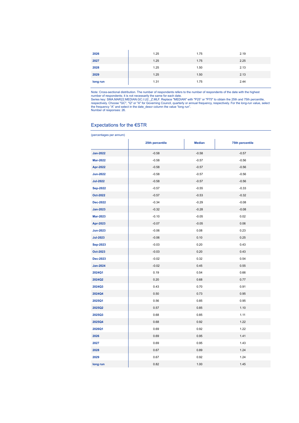| 2026     | 1.25 | 1.75 | 2.19 |
|----------|------|------|------|
| 2027     | 1.25 | 1.75 | 2.25 |
| 2028     | 1.25 | 1.50 | 2.13 |
| 2029     | 1.25 | 1.50 | 2.13 |
| long run | 1.31 | 1.75 | 2.44 |

Note: Cross-sectional distribution. The number of respondents refers to the number of respondents of the date with the highest<br>number of respondents; it is not necessarily the same for each date.<br>Series key: SMA.MAR22.MEDI

### Expectations for the €STR

| (percentages per annum) |                 |               |                        |  |  |  |
|-------------------------|-----------------|---------------|------------------------|--|--|--|
|                         | 25th percentile | <b>Median</b> | <b>75th percentile</b> |  |  |  |
| <b>Jan-2022</b>         | $-0.58$         | $-0.58$       | $-0.57$                |  |  |  |
| <b>Mar-2022</b>         | $-0.58$         | $-0.57$       | $-0.56$                |  |  |  |
| <b>Apr-2022</b>         | $-0.58$         | $-0.57$       | $-0.56$                |  |  |  |
| <b>Jun-2022</b>         | $-0.58$         | $-0.57$       | $-0.56$                |  |  |  |
| <b>Jul-2022</b>         | $-0.58$         | $-0.57$       | $-0.56$                |  |  |  |
| <b>Sep-2022</b>         | $-0.57$         | $-0.55$       | $-0.33$                |  |  |  |
| Oct-2022                | $-0.57$         | $-0.53$       | $-0.32$                |  |  |  |
| <b>Dec-2022</b>         | $-0.34$         | $-0.29$       | $-0.08$                |  |  |  |
| <b>Jan-2023</b>         | $-0.32$         | $-0.28$       | $-0.08$                |  |  |  |
| <b>Mar-2023</b>         | $-0.10$         | $-0.05$       | 0.02                   |  |  |  |
| Apr-2023                | $-0.07$         | $-0.05$       | 0.06                   |  |  |  |
| <b>Jun-2023</b>         | $-0.06$         | 0.08          | 0.23                   |  |  |  |
| <b>Jul-2023</b>         | $-0.06$         | 0.10          | 0.25                   |  |  |  |
| <b>Sep-2023</b>         | $-0.03$         | 0.20          | 0.43                   |  |  |  |
| Oct-2023                | $-0.03$         | 0.20          | 0.43                   |  |  |  |
| <b>Dec-2023</b>         | $-0.02$         | 0.32          | 0.54                   |  |  |  |
| <b>Jan-2024</b>         | $-0.02$         | 0.45          | 0.55                   |  |  |  |
| 2024Q1                  | 0.19            | 0.54          | 0.66                   |  |  |  |
| 2024Q2                  | 0.20            | 0.68          | 0.77                   |  |  |  |
| 2024Q3                  | 0.43            | 0.70          | 0.91                   |  |  |  |
| 2024Q4                  | 0.50            | 0.73          | 0.95                   |  |  |  |
| 2025Q1                  | 0.56            | 0.85          | 0.95                   |  |  |  |
| 2025Q2                  | 0.57            | 0.85          | 1.10                   |  |  |  |
| 2025Q3                  | 0.68            | 0.85          | 1.11                   |  |  |  |
| 2025Q4                  | 0.68            | 0.92          | 1.22                   |  |  |  |
| 2026Q1                  | 0.69            | 0.92          | 1.22                   |  |  |  |
| 2026                    | 0.69            | 0.95          | 1.41                   |  |  |  |
| 2027                    | 0.69            | 0.95          | 1.43                   |  |  |  |
| 2028                    | 0.67            | 0.89          | 1.24                   |  |  |  |
| 2029                    | 0.67            | 0.92          | 1.24                   |  |  |  |
| long run                | 0.82            | 1.00          | 1.45                   |  |  |  |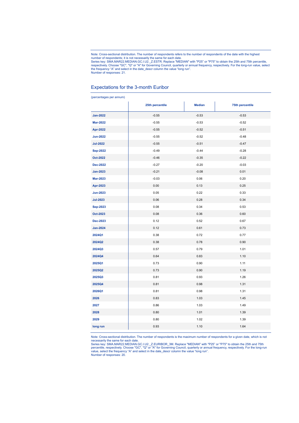Note: Cross-sectional distribution. The number of respondents refers to the number of respondents of the date with the highest number of respondents; it is not necessarily the same for each date.

Series key: SMA.MAR22.MEDIAN.GC.I.U2.\_Z.ESTR. Replace "MEDIAN" with "P25" or "P75" to obtain the 25th and 75th percentile,<br>respectively. Choose "GC", "Q" or "A" for Governing Council, quarterly or annual frequency, respect the frequency "A" and select in the date\_descr column the value "long run". Number of responses: 21.

#### Expectations for the 3-month Euribor

(percentages per annum) **25th percentile Median 75th percentile Jan-2022** -0.55 -0.53 -0.53 **Mar-2022** -0.52 -0.55 -0.53 -0.53 -0.52 **Apr-2022** -0.55 -0.55 -0.52 -0.52 -0.51 -0.52 -0.51 -0.51 -0.51 -0.51 -0.51 -0.51 -0.51 -0.51 -0.51 -0.51 -0.51 -0.51 -0.51 -0.51 -0.51 -0.51 -0.51 -0.51 -0.51 -0.51 -0.51 -0.51 -0.51 -0.51 -0.51 -0.51 -0.51 -0.51 -0.51 -**Jun-2022** -0.55 -0.52 -0.48 **Jul-2022 -**0.55 -0.51 -0.51 -0.47 -0.51 -0.47 -0.51 -0.47 -0.47 -0.47 -0.47 -0.47 **Sep-2022** -0.49 -0.49 -0.49 -0.44 -0.28 **Oct-2022** - 2009 -0.46 -0.46 -0.35 -0.22 **Dec-2022** -0.03 -0.27 -0.20 -0.20 -0.03 **Jan-2023** -0.21 -0.21 -0.21 -0.08 -0.08 -0.01 -0.07 -0.08 -0.01 -0.07 -0.07 -0.07 -0.07 -0.07 -0.07 -0.07 -0.07 -0 **Mar-2023** -0.03 -0.03 -0.06 0.20 **Apr-2023** 0.00 0.13 0.25 **Jun-2023** 0.05 0.22 0.33 **Jul-2023** 0.06 0.28 0.34 **Sep-2023** 0.08 0.34 0.53 **Oct-2023** 0.08 0.36 0.60 **Dec-2023** 0.12 0.52 0.67 **Jan-2024** 0.12 0.61 0.73 **2024Q1** 0.38 0.72 0.77 **2024Q2** 0.38 0.78 0.90 **2024Q3** 0.57 0.79 1.01 **2024Q4** 0.64 0.83 1.10 **2025Q1** 0.73 0.90 1.11 **2025Q2** 0.73 0.90 1.19 **2025Q3** 0.81 0.93 1.26 **2025Q4** 0.81 0.98 1.31 **2026Q1** 0.81 0.98 1.31 **2026** 0.83 1.03 1.45 **2027** 0.86 1.03 1.49 **2028** 0.80 1.01 1.39 **2029** 0.80 1.02 1.39 **long run 0.93 1.10 1.64** 

Note: Cross-sectional distribution. The number of respondents is the maximum number of respondents for a given date, which is not

necessarily the same for each date.<br>Series key: SMA.MAR22.MEDIAN.GC.I.U2.\_Z.EURIBOR\_3M. Replace "MEDIAN" with "P25" or "P75" to obtain the 25th and 75th percentile, respectively. Choose "GC", "Q" or "A" for Governing Council, quarterly or annual frequency, respectively. For the long-run<br>value, select the frequency "A" and select in the date\_descr column the value "long run Number of responses: 20.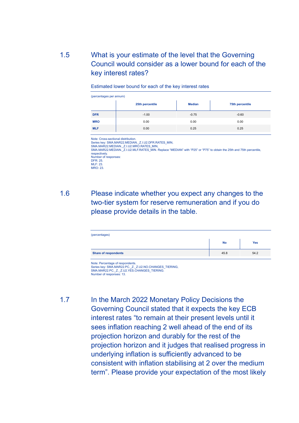### 1.5 What is your estimate of the level that the Governing Council would consider as a lower bound for each of the key interest rates?

| (percentages per annum) |                 |               |                 |  |  |
|-------------------------|-----------------|---------------|-----------------|--|--|
|                         | 25th percentile | <b>Median</b> | 75th percentile |  |  |
| <b>DFR</b>              | $-1.00$         | $-0.75$       | $-0.60$         |  |  |
| <b>MRO</b>              | 0.00            | 0.00          | 0.00            |  |  |
| <b>MLF</b>              | 0.00            | 0.25          | 0.25            |  |  |

Estimated lower bound for each of the key interest rates

Note: Cross-sectional distribution. Series key: SMA.MAR22.MEDIAN.\_Z.I.U2.DFR.RATES\_MIN, SMA.MAR22.MEDIAN.\_Z.I.U2.MRO.RATES\_MIN, SMA.MAR22.MEDIAN.\_Z.I.U2.MLF.RATES\_MIN. Replace "MEDIAN" with "P25" or "P75" to obtain the 25th and 75th percentile, respectively. Number of responses: DFR: 25. MLF: 23. MRO: 23.

1.6 Please indicate whether you expect any changes to the two-tier system for reserve remuneration and if you do please provide details in the table.

| (percentages)               |           |      |  |  |
|-----------------------------|-----------|------|--|--|
|                             | <b>No</b> | Yes  |  |  |
| <b>Share of respondents</b> | 45.8      | 54.2 |  |  |

Note: Percentage of respondents.<br>Series key: SMA.MAR22.PC.\_Z.\_Z.U2.NO.CHANGES\_TIERING,<br>SMA.MAR22.PC.\_Z.\_Z.U2.YES.CHANGES\_TIERING. Number of responses: 13.

1.7 In the March 2022 Monetary Policy Decisions the Governing Council stated that it expects the key ECB interest rates "to remain at their present levels until it sees inflation reaching 2 well ahead of the end of its projection horizon and durably for the rest of the projection horizon and it judges that realised progress in underlying inflation is sufficiently advanced to be consistent with inflation stabilising at 2 over the medium term". Please provide your expectation of the most likely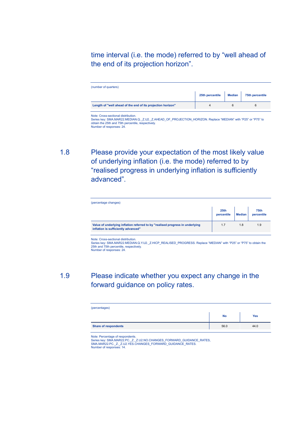time interval (i.e. the mode) referred to by "well ahead of the end of its projection horizon".

| (number of quarters)                                        |                 |        |                 |  |
|-------------------------------------------------------------|-----------------|--------|-----------------|--|
|                                                             | 25th percentile | Median | 75th percentile |  |
| Length of "well ahead of the end of its projection horizon" |                 |        |                 |  |

Note: Cross-sectional distribution. Series key: SMA.MAR22.MEDIAN.Q.\_Z.U2.\_Z.AHEAD\_OF\_PROJECTION\_HORIZON. Replace "MEDIAN" with "P25" or "P75" to<br>obtain the 25th and 75th percentile, respectively. Number of responses: 24.

1.8 Please provide your expectation of the most likely value of underlying inflation (i.e. the mode) referred to by "realised progress in underlying inflation is sufficiently advanced".

| (percentage changes)                                                                                                 |                                |               |                    |
|----------------------------------------------------------------------------------------------------------------------|--------------------------------|---------------|--------------------|
|                                                                                                                      | 25 <sub>th</sub><br>percentile | <b>Median</b> | 75th<br>percentile |
| Value of underlying inflation referred to by "realised progress in underlying<br>inflation is sufficiently advanced" | 1.7                            | 1.8           | 1.9                |

Note: Cross-sectional distribution.

Series key: SMA.MAR22.MEDIAN.Q.Y.U2.\_Z.HICP\_REALISED\_PROGRESS. Replace "MEDIAN" with "P25" or "P75" to obtain the 25th and 75th percentile, respectively. Number of responses: 24.

# 1.9 Please indicate whether you expect any change in the forward guidance on policy rates.

| (percentages)               |      |      |
|-----------------------------|------|------|
|                             | No   | Yes  |
| <b>Share of respondents</b> | 56.0 | 44.0 |

Note: Percentage of respondents.<br>Series key: SMA.MAR22.PC.\_Z.\_Z.U2.NO.CHANGES\_FORWARD\_GUIDANCE\_RATES,<br>SMA.MAR22.PC.\_Z.\_Z.U2.YES.CHANGES\_FORWARD\_GUIDANCE\_RATES. Number of responses: 14.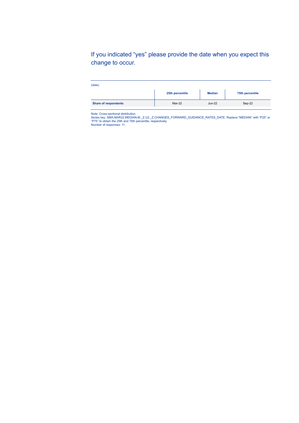If you indicated "yes" please provide the date when you expect this change to occur.

| (date)                      |                 |               |                 |
|-----------------------------|-----------------|---------------|-----------------|
|                             | 25th percentile | <b>Median</b> | 75th percentile |
| <b>Share of respondents</b> | Mar-22          | $Jun-22$      | Sep-22          |

Note: Cross-sectional distribution.<br>Series key: SMA.MAR22.MEDIAN.M.\_Z.U2.\_Z.CHANGES\_FORWARD\_GUIDANCE\_RATES\_DATE. Replace "MEDIAN" with "P25" or<br>"P75" to obtain the 25th and 75th percentile, respectively.<br>Number of response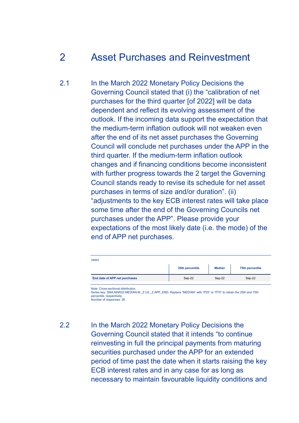# 2 Asset Purchases and Reinvestment

2.1 In the March 2022 Monetary Policy Decisions the Governing Council stated that (i) the "calibration of net purchases for the third quarter [of 2022] will be data dependent and reflect its evolving assessment of the outlook. If the incoming data support the expectation that the medium-term inflation outlook will not weaken even after the end of its net asset purchases the Governing Council will conclude net purchases under the APP in the third quarter. If the medium-term inflation outlook changes and if financing conditions become inconsistent with further progress towards the 2 target the Governing Council stands ready to revise its schedule for net asset purchases in terms of size and/or duration". (ii) "adjustments to the key ECB interest rates will take place some time after the end of the Governing Councils net purchases under the APP". Please provide your expectations of the most likely date (i.e. the mode) of the end of APP net purchases.

| (date)                        |                 |               |                 |  |  |
|-------------------------------|-----------------|---------------|-----------------|--|--|
|                               | 25th percentile | <b>Median</b> | 75th percentile |  |  |
| End date of APP net purchases | Sep-22          | Sep-22        | Sep-22          |  |  |

Note: Cross-sectional distribution.

Series key: SMA.MAR22.MEDIAN.M.\_Z.U2.\_Z.APP\_END. Replace "MEDIAN" with "P25" or "P75" to obtain the 25th and 75th percentile, respectively. Number of responses: 26.

2.2 In the March 2022 Monetary Policy Decisions the Governing Council stated that it intends "to continue reinvesting in full the principal payments from maturing securities purchased under the APP for an extended period of time past the date when it starts raising the key ECB interest rates and in any case for as long as necessary to maintain favourable liquidity conditions and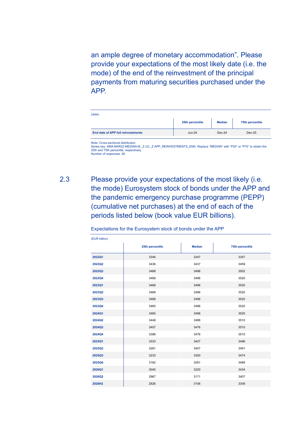an ample degree of monetary accommodation". Please provide your expectations of the most likely date (i.e. the mode) of the end of the reinvestment of the principal payments from maturing securities purchased under the APP.

| (date)                             |                 |               |                 |
|------------------------------------|-----------------|---------------|-----------------|
|                                    | 25th percentile | <b>Median</b> | 75th percentile |
| End date of APP full reinvestments | <b>Jun-24</b>   | Dec-24        | $Dec-25$        |

Note: Cross-sectional distribution.

Series key: SMA.MAR22.MEDIAN.M.\_Z.U2.\_Z.APP\_REINVESTMENTS\_END. Replace "MEDIAN" with "P25" or "P75" to obtain the 25th and 75th percentile, respectively. Number of responses: 26.

# 2.3 Please provide your expectations of the most likely (i.e. the mode) Eurosystem stock of bonds under the APP and the pandemic emergency purchase programme (PEPP) (cumulative net purchases) at the end of each of the periods listed below (book value EUR billions).

| (EUR billion) |                 |               |                 |
|---------------|-----------------|---------------|-----------------|
|               | 25th percentile | <b>Median</b> | 75th percentile |
| 2022Q1        | 3346            | 3347          | 3347            |
| 2022Q2        | 3436            | 3437          | 3459            |
| 2022Q3        | 3468            | 3496          | 3502            |
| 2022Q4        | 3468            | 3496          | 3520            |
| 2023Q1        | 3468            | 3496          | 3520            |
| 2023Q2        | 3468            | 3496          | 3520            |
| 2023Q3        | 3468            | 3496          | 3520            |
| 2023Q4        | 3465            | 3496          | 3520            |
| 2024Q1        | 3465            | 3496          | 3520            |
| 2024Q2        | 3448            | 3486          | 3510            |
| 2024Q3        | 3407            | 3476          | 3510            |
| 2024Q4        | 3396            | 3476          | 3510            |
| 2025Q1        | 3333            | 3427          | 3496            |
| 2025Q2        | 3281            | 3407          | 3491            |
| 2025Q3        | 3233            | 3350          | 3474            |
| 2025Q4        | 3182            | 3291          | 3468            |
| 2026Q1        | 3040            | 3220          | 3434            |
| 2026Q2        | 2967            | 3171          | 3407            |
| 2026H2        | 2826            | 3106          | 3309            |

Expectations for the Eurosystem stock of bonds under the APP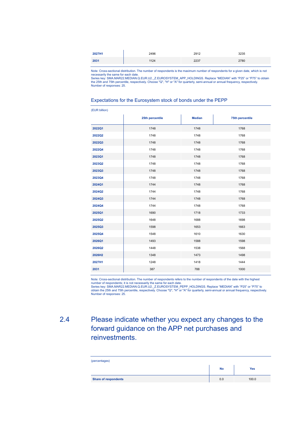| 2027H1 | 2496 | 2912 | 3235 |
|--------|------|------|------|
| 2031   | 1124 | 2237 | 2780 |
|        |      |      |      |

Note: Cross-sectional distribution. The number of respondents is the maximum number of respondents for a given date, which is not necessarily the same for each date.

Series key: SMA.MAR22.MEDIAN.Q.EUR.U2.\_Z.EUROSYSTEM\_APP\_HOLDINGS. Replace "MEDIAN" with "P25" or "P75" to obtain<br>the 25th and 75th percentile, respectively. Choose "Q", "H" or "A" for quarterly, semi-annual or annual frequ Number of responses: 25.

### Expectations for the Eurosystem stock of bonds under the PEPP

| (EUR billion) |                 |               |                 |
|---------------|-----------------|---------------|-----------------|
|               | 25th percentile | <b>Median</b> | 75th percentile |
| 2022Q1        | 1748            | 1748          | 1768            |
| 2022Q2        | 1748            | 1748          | 1768            |
| 2022Q3        | 1748            | 1748          | 1768            |
| 2022Q4        | 1748            | 1748          | 1768            |
| 2023Q1        | 1748            | 1748          | 1768            |
| 2023Q2        | 1748            | 1748          | 1768            |
| 2023Q3        | 1748            | 1748          | 1768            |
| 2023Q4        | 1748            | 1748          | 1768            |
| 2024Q1        | 1744            | 1748          | 1768            |
| 2024Q2        | 1744            | 1748          | 1768            |
| 2024Q3        | 1744            | 1748          | 1768            |
| 2024Q4        | 1744            | 1748          | 1768            |
| 2025Q1        | 1690            | 1718          | 1733            |
| 2025Q2        | 1648            | 1688          | 1698            |
| 2025Q3        | 1598            | 1653          | 1663            |
| 2025Q4        | 1548            | 1610          | 1630            |
| 2026Q1        | 1493            | 1588          | 1598            |
| 2026Q2        | 1448            | 1538          | 1568            |
| 2026H2        | 1348            | 1473          | 1498            |
| 2027H1        | 1248            | 1418          | 1444            |
| 2031          | 387             | 788           | 1000            |

Note: Cross-sectional distribution. The number of respondents refers to the number of respondents of the date with the highest

number of respondents; it is not necessarily the same for each date.<br>Series key: SMA.MAR22.MEDIAN.Q.EUR.U2.\_Z.EUROSYSTEM\_PEPP\_HOLDINGS. Replace "MEDIAN" with "P25" or "P75" to<br>obtain the 25th and 75th percentile, respectiv

### 2.4 Please indicate whether you expect any changes to the forward guidance on the APP net purchases and reinvestments.

| (percentages)               |           |       |
|-----------------------------|-----------|-------|
|                             | <b>No</b> | Yes   |
| <b>Share of respondents</b> | 0.0       | 100.0 |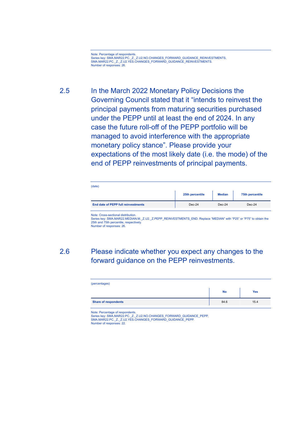Note: Percentage of respondents. Series key: SMA.MAR22.PC.\_Z.\_Z.U2.NO.CHANGES\_FORWARD\_GUIDANCE\_REINVESTMENTS, SMA.MAR22.PC.\_Z.\_Z.U2.YES.CHANGES\_FORWARD\_GUIDANCE\_REINVESTMENTS. Number of responses: 26.

2.5 In the March 2022 Monetary Policy Decisions the Governing Council stated that it "intends to reinvest the principal payments from maturing securities purchased under the PEPP until at least the end of 2024. In any case the future roll-off of the PEPP portfolio will be managed to avoid interference with the appropriate monetary policy stance". Please provide your expectations of the most likely date (i.e. the mode) of the end of PEPP reinvestments of principal payments.

| (date)                              |                 |               |                 |
|-------------------------------------|-----------------|---------------|-----------------|
|                                     | 25th percentile | <b>Median</b> | 75th percentile |
| End date of PEPP full reinvestments | $Dec-24$        | $Dec-24$      | $Dec-24$        |

Note: Cross-sectional distribution.

Series key: SMA.MAR22.MEDIAN.M.\_Z.U2.\_Z.PEPP\_REINVESTMENTS\_END. Replace "MEDIAN" with "P25" or "P75" to obtain the 25th and 75th percentile, respectively. Number of responses: 26.

### 2.6 Please indicate whether you expect any changes to the forward guidance on the PEPP reinvestments.

| (percentages)               |           |      |  |
|-----------------------------|-----------|------|--|
|                             | <b>No</b> | Yes  |  |
| <b>Share of respondents</b> | 84.6      | 15.4 |  |
|                             |           |      |  |

Note: Percentage of respondents. Series key: SMA.MAR22.PC.\_Z.\_Z.U2.NO.CHANGES\_FORWARD\_GUIDANCE\_PEPP,<br>SMA.MAR22.PC.\_Z.\_Z.U2.YES.CHANGES\_FORWARD\_GUIDANCE\_PEPP. Number of responses: 22.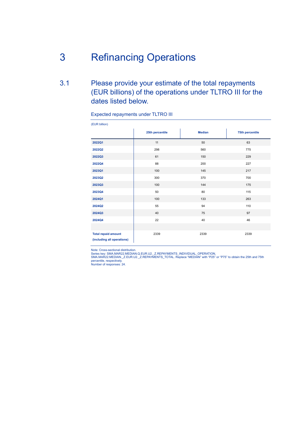# 3 Refinancing Operations

## 3.1 Please provide your estimate of the total repayments (EUR billions) of the operations under TLTRO III for the dates listed below.

### Expected repayments under TLTRO III

| (EUR billion)                                            |                 |               |                 |
|----------------------------------------------------------|-----------------|---------------|-----------------|
|                                                          | 25th percentile | <b>Median</b> | 75th percentile |
| 2022Q1                                                   | 11              | 50            | 63              |
| 2022Q2                                                   | 298             | 560           | 775             |
| 2022Q3                                                   | 61              | 150           | 229             |
| 2022Q4                                                   | 88              | 200           | 227             |
| 2023Q1                                                   | 100             | 145           | 217             |
| 2023Q2                                                   | 300             | 370           | 700             |
| 2023Q3                                                   | 100             | 144           | 175             |
| 2023Q4                                                   | 50              | 80            | 115             |
| 2024Q1                                                   | 100             | 133           | 263             |
| 2024Q2                                                   | 55              | 94            | 110             |
| 2024Q3                                                   | 40              | 75            | 97              |
| 2024Q4                                                   | 22              | 40            | 46              |
|                                                          |                 |               |                 |
| <b>Total repaid amount</b><br>(including all operations) | 2339            | 2339          | 2339            |

Note: Cross-sectional distribution.<br>Series key: SMA.MAR22.MEDIAN.Q.EUR.U2.\_Z.REPAYMENTS\_INDIVIDUAL\_OPERATION,<br>SMA.MAR22.MEDIAN.\_Z.EUR.U2.\_Z.REPAYMENTS\_TOTAL. Replace "MEDIAN" with "P25" or "P75" to obtain the 25th and 75th SMA.MARZZ.MEDIAN.\_Z<br>percentile, respectively.<br>Number of responses: 24.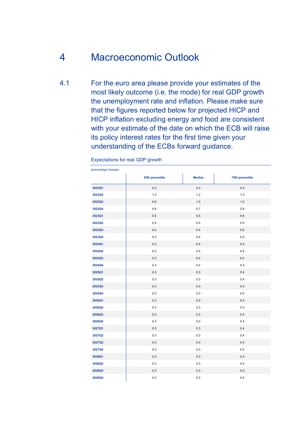# 4 Macroeconomic Outlook

4.1 For the euro area please provide your estimates of the most likely outcome (i.e. the mode) for real GDP growth the unemployment rate and inflation. Please make sure that the figures reported below for projected HICP and HICP inflation excluding energy and food are consistent with your estimate of the date on which the ECB will raise its policy interest rates for the first time given your understanding of the ECBs forward guidance.

| (percentage change) |                 |               |                 |
|---------------------|-----------------|---------------|-----------------|
|                     | 25th percentile | <b>Median</b> | 75th percentile |
| 2022Q1              | 0.2             | 0.3           | 0.4             |
| 2022Q2              | $1.2$           | $1.2$         | $1.3$           |
| 2022Q3              | 0.9             | 1.0           | $1.2$           |
| 2022Q4              | 0.6             | $0.7\,$       | 0.8             |
| 2023Q1              | 0.5             | $0.5\,$       | $0.6\,$         |
| 2023Q2              | $0.4\,$         | $0.5\,$       | $0.5\,$         |
| 2023Q3              | 0.4             | 0.4           | 0.5             |
| 2023Q4              | 0.3             | 0.4           | 0.5             |
| 2024Q1              | 0.3             | 0.4           | $0.4\,$         |
| 2024Q2              | $0.3\,$         | 0.4           | 0.4             |
| 2024Q3              | 0.3             | 0.4           | $0.4\,$         |
| 2024Q4              | 0.3             | 0.4           | 0.4             |
| 2025Q1              | 0.3             | 0.3           | 0.4             |
| 2025Q2              | 0.3             | 0.3           | 0.4             |
| 2025Q3              | 0.3             | 0.3           | 0.4             |
| 2025Q4              | 0.3             | $0.3\,$       | 0.4             |
| 2026Q1              | 0.3             | 0.3           | $0.4\,$         |
| 2026Q2              | 0.3             | 0.3           | 0.4             |
| 2026Q3              | 0.3             | 0.3           | 0.4             |
| 2026Q4              | 0.3             | 0.3           | 0.4             |
| 2027Q1              | 0.3             | 0.3           | $0.4\,$         |
| 2027Q2              | $0.3\,$         | $0.3\,$       | 0.4             |
| 2027Q3              | 0.3             | 0.3           | 0.4             |
| 2027Q4              | 0.3             | 0.3           | 0.4             |
| 2028Q1              | 0.3             | 0.3           | 0.4             |
| 2028Q2              | 0.3             | $0.3\,$       | 0.4             |
| 2028Q3              | 0.3             | 0.3           | 0.4             |
| 2028Q4              | 0.3             | 0.3           | 0.4             |

Expectations for real GDP growth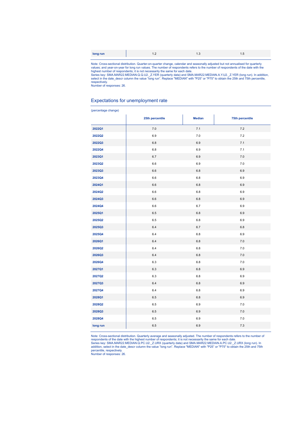| long run | $\overline{\phantom{a}}$ | $\sim$ |  |
|----------|--------------------------|--------|--|
|          |                          |        |  |

Note: Cross-sectional distribution. Quarter-on-quarter change, calendar and seasonally adjusted but not annualised for quarterly values; and year-on-guarter change, and year-on-quarter business and year-on-quarter business

respectively. Number of responses: 26.

### Expectations for unemployment rate

#### (percentage change)

|          | 25th percentile | <b>Median</b> | <b>75th percentile</b> |
|----------|-----------------|---------------|------------------------|
| 2022Q1   | 7.0             | 7.1           | 7.2                    |
| 2022Q2   | 6.9             | $7.0\,$       | 7.2                    |
| 2022Q3   | $6.8\,$         | 6.9           | 7.1                    |
| 2022Q4   | 6.8             | $6.9\,$       | 7.1                    |
| 2023Q1   | 6.7             | 6.9           | $7.0\,$                |
| 2023Q2   | 6.6             | 6.9           | $7.0$                  |
| 2023Q3   | 6.6             | 6.8           | 6.9                    |
| 2023Q4   | 6.6             | $6.8\,$       | $6.9\,$                |
| 2024Q1   | $6.6$           | $6.8\,$       | $6.9\,$                |
| 2024Q2   | 6.6             | 6.8           | 6.9                    |
| 2024Q3   | 6.6             | $6.8\,$       | 6.9                    |
| 2024Q4   | 6.6             | 6.7           | 6.9                    |
| 2025Q1   | 6.5             | $6.8\,$       | $6.9\,$                |
| 2025Q2   | 6.5             | $6.8\,$       | 6.9                    |
| 2025Q3   | 6.4             | 6.7           | 6.8                    |
| 2025Q4   | 6.4             | $6.8\,$       | 6.9                    |
| 2026Q1   | 6.4             | $6.8\,$       | $7.0$                  |
| 2026Q2   | 6.4             | $6.8\,$       | $7.0\,$                |
| 2026Q3   | 6.4             | $6.8\,$       | $7.0$                  |
| 2026Q4   | 6.3             | $6.8\,$       | 7.0                    |
| 2027Q1   | 6.3             | 6.8           | 6.9                    |
| 2027Q2   | 6.3             | $6.8\,$       | 6.9                    |
| 2027Q3   | 6.4             | 6.8           | 6.9                    |
| 2027Q4   | 6.4             | $6.8\,$       | $6.9\,$                |
| 2028Q1   | 6.5             | 6.8           | 6.9                    |
| 2028Q2   | 6.5             | 6.9           | $7.0$                  |
| 2028Q3   | 6.5             | 6.9           | $7.0$                  |
| 2028Q4   | 6.5             | 6.9           | $7.0\,$                |
| long run | 6.5             | 6.9           | 7.3                    |

Note: Cross-sectional distribution. Quarterly average and seasonally adjusted. The number of respondents refers to the number of respondents of the date with the highest number of respondents of the date with the highest n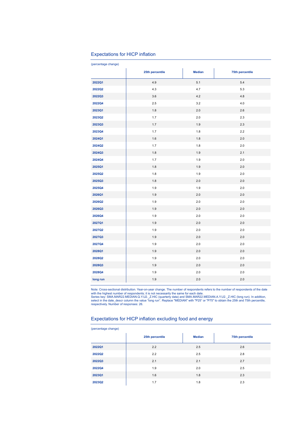### Expectations for HICP inflation

| (percentage change) |                 |               |                 |
|---------------------|-----------------|---------------|-----------------|
|                     | 25th percentile | <b>Median</b> | 75th percentile |
| 2022Q1              | 4.9             | 5.1           | 5.4             |
| 2022Q2              | 4.3             | 4.7           | 5.3             |
| 2022Q3              | 3.6             | 4.2           | 4.8             |
| 2022Q4              | 2.5             | 3.2           | 4.0             |
| 2023Q1              | 1.8             | 2.0           | 2.6             |
| 2023Q2              | 1.7             | 2.0           | 2.3             |
| 2023Q3              | 1.7             | 1.9           | 2.3             |
| 2023Q4              | 1.7             | 1.8           | 2.2             |
| 2024Q1              | 1.6             | 1.8           | 2.0             |
| 2024Q2              | 1.7             | 1.8           | 2.0             |
| 2024Q3              | 1.8             | 1.9           | 2.1             |
| 2024Q4              | 1.7             | 1.9           | 2.0             |
| 2025Q1              | 1.8             | 1.9           | 2.0             |
| 2025Q2              | 1.8             | 1.9           | 2.0             |
| 2025Q3              | 1.8             | 2.0           | 2.0             |
| 2025Q4              | 1.9             | 1.9           | 2.0             |
| 2026Q1              | 1.9             | 2.0           | 2.0             |
| 2026Q2              | 1.9             | 2.0           | 2.0             |
| 2026Q3              | 1.9             | 2.0           | 2.0             |
| 2026Q4              | 1.9             | $2.0\,$       | 2.0             |
| 2027Q1              | 1.9             | 2.0           | 2.0             |
| 2027Q2              | 1.9             | 2.0           | 2.0             |
| 2027Q3              | 1.9             | $2.0\,$       | 2.0             |
| 2027Q4              | 1.9             | 2.0           | 2.0             |
| 2028Q1              | 1.9             | 2.0           | 2.0             |
| 2028Q2              | 1.9             | 2.0           | 2.0             |
| 2028Q3              | 1.9             | 2.0           | 2.0             |
| 2028Q4              | 1.9             | 2.0           | 2.0             |
| long run            | 1.9             | $2.0$         | 2.0             |

Note: Cross-sectional distribution. Year-on-year change. The number of respondents refers to the number of respondents of the date<br>with the highest number of respondents; it is not necessarily the same for each date.<br>Serie

### Expectations for HICP inflation excluding food and energy

| (percentage change) |                 |               |                 |  |  |  |  |
|---------------------|-----------------|---------------|-----------------|--|--|--|--|
|                     | 25th percentile | <b>Median</b> | 75th percentile |  |  |  |  |
| 2022Q1              | 2.2             | 2.5           | 2.6             |  |  |  |  |
| 2022Q2              | 2.2             | 2.5           | 2.8             |  |  |  |  |
| 2022Q3              | 2.1             | 2.1           | 2.7             |  |  |  |  |
| 2022Q4              | 1.9             | 2.0           | 2.5             |  |  |  |  |
| 2023Q1              | 1.6             | 1.8           | 2.3             |  |  |  |  |
| 2023Q2              | 1.7             | 1.8           | 2.3             |  |  |  |  |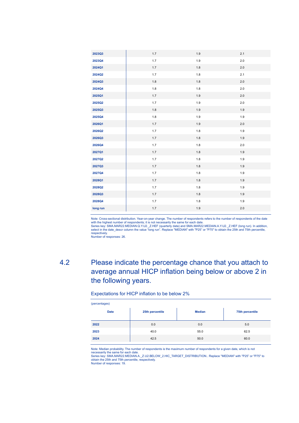| 2023Q3   | 1.7     | 1.9     | 2.1     |
|----------|---------|---------|---------|
| 2023Q4   | 1.7     | 1.9     | 2.0     |
| 2024Q1   | 1.7     | 1.8     | 2.0     |
| 2024Q2   | 1.7     | 1.8     | 2.1     |
| 2024Q3   | 1.8     | 1.8     | 2.0     |
| 2024Q4   | 1.8     | 1.8     | 2.0     |
| 2025Q1   | 1.7     | 1.9     | 2.0     |
| 2025Q2   | 1.7     | 1.9     | $2.0\,$ |
| 2025Q3   | 1.8     | 1.9     | 1.9     |
| 2025Q4   | 1.8     | 1.9     | 1.9     |
| 2026Q1   | 1.7     | 1.9     | 2.0     |
| 2026Q2   | 1.7     | $1.8\,$ | 1.9     |
| 2026Q3   | 1.7     | 1.8     | 1.9     |
| 2026Q4   | 1.7     | 1.8     | $2.0\,$ |
| 2027Q1   | 1.7     | $1.8\,$ | $1.9$   |
| 2027Q2   | 1.7     | 1.8     | 1.9     |
| 2027Q3   | 1.7     | 1.8     | 1.9     |
| 2027Q4   | 1.7     | $1.8\,$ | 1.9     |
| 2028Q1   | 1.7     | 1.8     | 1.9     |
| 2028Q2   | 1.7     | $1.8\,$ | $1.9$   |
| 2028Q3   | 1.7     | 1.8     | 1.9     |
| 2028Q4   | 1.7     | $1.8\,$ | 1.9     |
| long run | $1.7\,$ | $1.9$   | 2.0     |
|          |         |         |         |

Note: Cross-sectional distribution. Year-on-year change. The number of respondents refers to the number of respondents of the date

with the highest number of respondents; it is not necessarily the same for each date.<br>Series key: SMA.MAR22.MEDIAN.Q.Y.U2.\_Z.HEF (quarterly data) and SMA.MAR22.MEDIAN.A.Y.U2.\_Z.HEF (long run). In addition,<br>select in the da respectively.

Number of responses: 26.

## 4.2 Please indicate the percentage chance that you attach to average annual HICP inflation being below or above 2 in the following years.

### Expectations for HICP inflation to be below 2%

| (percentages) |                 |               |                 |  |  |  |  |
|---------------|-----------------|---------------|-----------------|--|--|--|--|
| <b>Date</b>   | 25th percentile | <b>Median</b> | 75th percentile |  |  |  |  |
| 2022          | 0.0             | 0.0           | 5.0             |  |  |  |  |
| 2023          | 40.0            | 55.0          | 62.5            |  |  |  |  |
| 2024          | 42.5            | 50.0          | 60.0            |  |  |  |  |

Note: Median probability. The number of respondents is the maximum number of respondents for a given date, which is not

necessarily the same for each date.<br>Series key: SMA.MAR22.MEDIAN.A.\_Z.U2.BELOW\_2.HIC\_TARGET\_DISTRIBUTION.. Replace "MEDIAN" with "P25" or "P75" to<br>obtain the 25th and 75th percentile, respectively.

Number of responses: 19.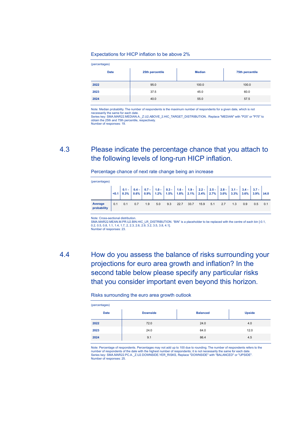### Expectations for HICP inflation to be above 2%

| (percentages) |                 |               |                 |  |  |  |  |
|---------------|-----------------|---------------|-----------------|--|--|--|--|
| <b>Date</b>   | 25th percentile | <b>Median</b> | 75th percentile |  |  |  |  |
| 2022          | 95.0            | 100.0         | 100.0           |  |  |  |  |
| 2023          | 37.5            | 45.0          | 60.0            |  |  |  |  |
| 2024          | 40.0            | 55.0          | 57.5            |  |  |  |  |

Note: Median probability. The number of respondents is the maximum number of respondents for a given date, which is not necessarily the same for each date.

Series key: SMA.MAR22.MEDIAN.A.\_Z.U2.ABOVE\_2.HIC\_TARGET\_DISTRIBUTION.. Replace "MEDIAN" with "P25" or "P75" to<br>obtain the 25th and 75th percentile, respectively. Number of responses: 19.

### 4.3 Please indicate the percentage chance that you attach to the following levels of long-run HICP inflation.

Percentage chance of next rate change being an increase

| (percentages)          |     |     |     |                                                                                                                                                                                                                                                                                                                                                                                   |     |     |      |      |      |     |     |     |     |     |     |
|------------------------|-----|-----|-----|-----------------------------------------------------------------------------------------------------------------------------------------------------------------------------------------------------------------------------------------------------------------------------------------------------------------------------------------------------------------------------------|-----|-----|------|------|------|-----|-----|-----|-----|-----|-----|
|                        |     |     |     | $\begin{vmatrix} 0.1 & 0.4 \\ 0.3 & 0.8\% \end{vmatrix} = \begin{vmatrix} 0.4 & 0.7 \\ 0.8 & 0.9\% \end{vmatrix} = \begin{vmatrix} 1.0 & 0.3 \\ 1.2\% & 1.5\% \end{vmatrix} = \begin{vmatrix} 1.6 & 1.9 \\ 1.8\% & 2.1\% \end{vmatrix} = \begin{vmatrix} 2.2 & 2.5 \\ 2.4\% & 2.7\% \end{vmatrix} = \begin{vmatrix} 2.8 & 3.1 \\ 3.0\% & 3.3\% \end{vmatrix} = \begin{vmatrix} 3$ |     |     |      |      |      |     |     |     |     |     |     |
| Average<br>probability | 0.1 | 0.1 | 0.7 | 1.9                                                                                                                                                                                                                                                                                                                                                                               | 5.0 | 9.3 | 22.7 | 33.7 | 15.9 | 5.1 | 2.7 | 1.3 | 0.9 | 0.5 | 0.1 |

Note: Cross-sectional distribution.

SMA.MAR22.MEAN.M.PR.U2.BIN.HIC\_LR\_DISTRIBUTION. "BIN" is a placeholder to be replaced with the centre of each bin [-0.1, 0.2, 0.5, 0.8, 1.1, 1.4, 1.7, 2, 2.3, 2.6, 2.9, 3.2, 3.5, 3.8, 4.1]. Number of responses: 23.

4.4 How do you assess the balance of risks surrounding your projections for euro area growth and inflation? In the second table below please specify any particular risks that you consider important even beyond this horizon.

### Risks surrounding the euro area growth outlook

| (percentages) |                 |                 |               |  |  |  |  |
|---------------|-----------------|-----------------|---------------|--|--|--|--|
| <b>Date</b>   | <b>Downside</b> | <b>Balanced</b> | <b>Upside</b> |  |  |  |  |
| 2022          | 72.0            | 24.0            | 4.0           |  |  |  |  |
| 2023          | 24.0            | 64.0            | 12.0          |  |  |  |  |
| 2024          | 9.1             | 86.4            | 4.5           |  |  |  |  |

Note: Percentage of respondents. Percentages may not add up to 100 due to rounding. The number of respondents refers to the number of respondents of the date with the highest number of respondents; it is not necessarily the same for each date. Series key: SMA.MAR22.PC.A.\_Z.U2.DOWNSIDE.YER\_RISKS, Replace "DOWNSIDE" with "BALANCED" or "UPSIDE". Number of responses: 25.